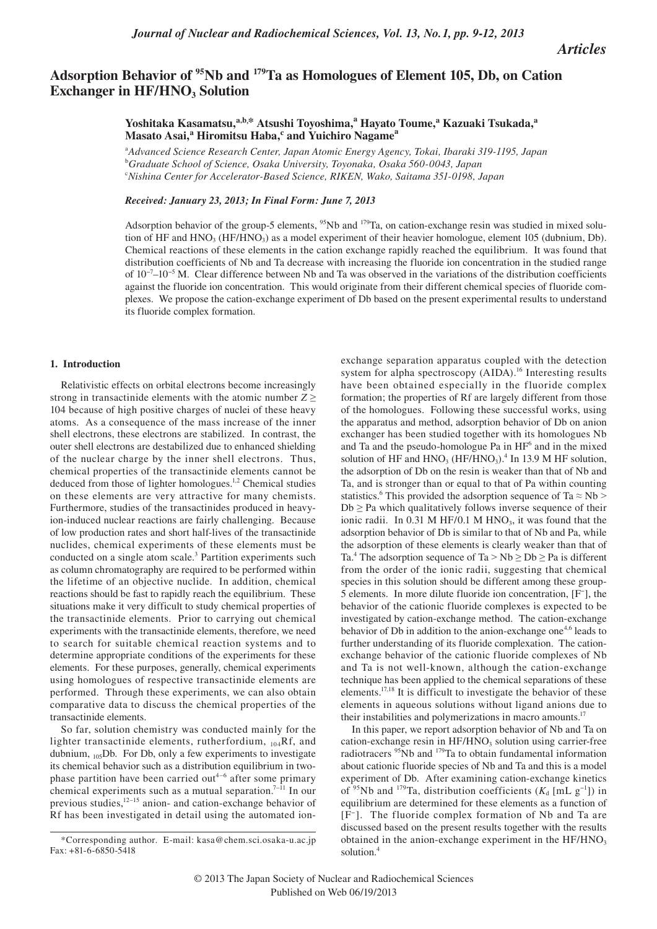*Articles*

# Adsorption Behavior of <sup>95</sup>Nb and <sup>179</sup>Ta as Homologues of Element 105, Db, on Cation **Exchanger in HF/HNO<sub>3</sub> Solution**

Yoshitaka Kasamatsu,<sup>a,b,\*</sup> Atsushi Toyoshima,<sup>a</sup> Hayato Toume,<sup>a</sup> Kazuaki Tsukada,<sup>a</sup> **Masato Asai,<sup>a</sup> Hiromitsu Haba,<sup>c</sup> and Yuichiro Nagame<sup>a</sup>**

a *Advanced Science Research Center, Japan Atomic Energy Agency, Tokai, Ibaraki 319-1195, Japan* b *Graduate School of Science, Osaka University, Toyonaka, Osaka 560-0043, Japan* c *Nishina Center for Accelerator-Based Science, RIKEN, Wako, Saitama 351-0198, Japan*

## *Received: January 23, 2013; In Final Form: June 7, 2013*

Adsorption behavior of the group-5 elements,  $95$ Nb and  $179$ Ta, on cation-exchange resin was studied in mixed solution of HF and  $HNO<sub>3</sub>$  (HF/HNO<sub>3</sub>) as a model experiment of their heavier homologue, element 105 (dubnium, Db). Chemical reactions of these elements in the cation exchange rapidly reached the equilibrium. It was found that distribution coefficients of Nb and Ta decrease with increasing the fluoride ion concentration in the studied range of 10−7–10−5 M. Clear difference between Nb and Ta was observed in the variations of the distribution coefficients against the fluoride ion concentration. This would originate from their different chemical species of fluoride complexes. We propose the cation-exchange experiment of Db based on the present experimental results to understand its fluoride complex formation.

### **1. Introduction**

Relativistic effects on orbital electrons become increasingly strong in transactinide elements with the atomic number  $Z \geq$ 104 because of high positive charges of nuclei of these heavy atoms. As a consequence of the mass increase of the inner shell electrons, these electrons are stabilized. In contrast, the outer shell electrons are destabilized due to enhanced shielding of the nuclear charge by the inner shell electrons. Thus, chemical properties of the transactinide elements cannot be deduced from those of lighter homologues.<sup>1,2</sup> Chemical studies on these elements are very attractive for many chemists. Furthermore, studies of the transactinides produced in heavyion-induced nuclear reactions are fairly challenging. Because of low production rates and short half-lives of the transactinide nuclides, chemical experiments of these elements must be conducted on a single atom scale.<sup>3</sup> Partition experiments such as column chromatography are required to be performed within the lifetime of an objective nuclide. In addition, chemical reactions should be fast to rapidly reach the equilibrium. These situations make it very difficult to study chemical properties of the transactinide elements. Prior to carrying out chemical experiments with the transactinide elements, therefore, we need to search for suitable chemical reaction systems and to determine appropriate conditions of the experiments for these elements. For these purposes, generally, chemical experiments using homologues of respective transactinide elements are performed. Through these experiments, we can also obtain comparative data to discuss the chemical properties of the transactinide elements.

So far, solution chemistry was conducted mainly for the lighter transactinide elements, rutherfordium, 104Rf, and dubnium,  $_{105}$ Db. For Db, only a few experiments to investigate its chemical behavior such as a distribution equilibrium in twophase partition have been carried out<sup>4-6</sup> after some primary chemical experiments such as a mutual separation.<sup>7–11</sup> In our previous studies, $12-15$  anion- and cation-exchange behavior of Rf has been investigated in detail using the automated ionexchange separation apparatus coupled with the detection system for alpha spectroscopy (AIDA).<sup>16</sup> Interesting results have been obtained especially in the fluoride complex formation; the properties of Rf are largely different from those of the homologues. Following these successful works, using the apparatus and method, adsorption behavior of Db on anion exchanger has been studied together with its homologues Nb and Ta and the pseudo-homologue Pa in HF<sup>6</sup> and in the mixed solution of HF and  $HNO<sub>3</sub>$  (HF/HNO<sub>3</sub>).<sup>4</sup> In 13.9 M HF solution, the adsorption of Db on the resin is weaker than that of Nb and Ta, and is stronger than or equal to that of Pa within counting statistics.<sup>6</sup> This provided the adsorption sequence of Ta  $\approx$  Nb  $>$  $Db$  > Pa which qualitatively follows inverse sequence of their ionic radii. In  $0.31$  M HF/0.1 M HNO<sub>3</sub>, it was found that the adsorption behavior of Db is similar to that of Nb and Pa, while the adsorption of these elements is clearly weaker than that of Ta.<sup>4</sup> The adsorption sequence of Ta > Nb  $\geq$  Db  $\geq$  Pa is different from the order of the ionic radii, suggesting that chemical species in this solution should be different among these group-5 elements. In more dilute fluoride ion concentration, [F− ], the behavior of the cationic fluoride complexes is expected to be investigated by cation-exchange method. The cation-exchange behavior of Db in addition to the anion-exchange one<sup>4,6</sup> leads to further understanding of its fluoride complexation. The cationexchange behavior of the cationic fluoride complexes of Nb and Ta is not well-known, although the cation-exchange technique has been applied to the chemical separations of these elements.17,18 It is difficult to investigate the behavior of these elements in aqueous solutions without ligand anions due to their instabilities and polymerizations in macro amounts.17

In this paper, we report adsorption behavior of Nb and Ta on cation-exchange resin in  $HF/HNO<sub>3</sub>$  solution using carrier-free radiotracers 95Nb and 179Ta to obtain fundamental information about cationic fluoride species of Nb and Ta and this is a model experiment of Db. After examining cation-exchange kinetics of <sup>95</sup>Nb and <sup>179</sup>Ta, distribution coefficients ( $K_d$  [mL g<sup>-1</sup>]) in equilibrium are determined for these elements as a function of [F−]. The fluoride complex formation of Nb and Ta are discussed based on the present results together with the results obtained in the anion-exchange experiment in the  $HF/HNO<sub>3</sub>$ solution.<sup>4</sup>

<sup>\*</sup>Corresponding author. E-mail: kasa@chem.sci.osaka-u.ac.jp Fax: +81-6-6850-5418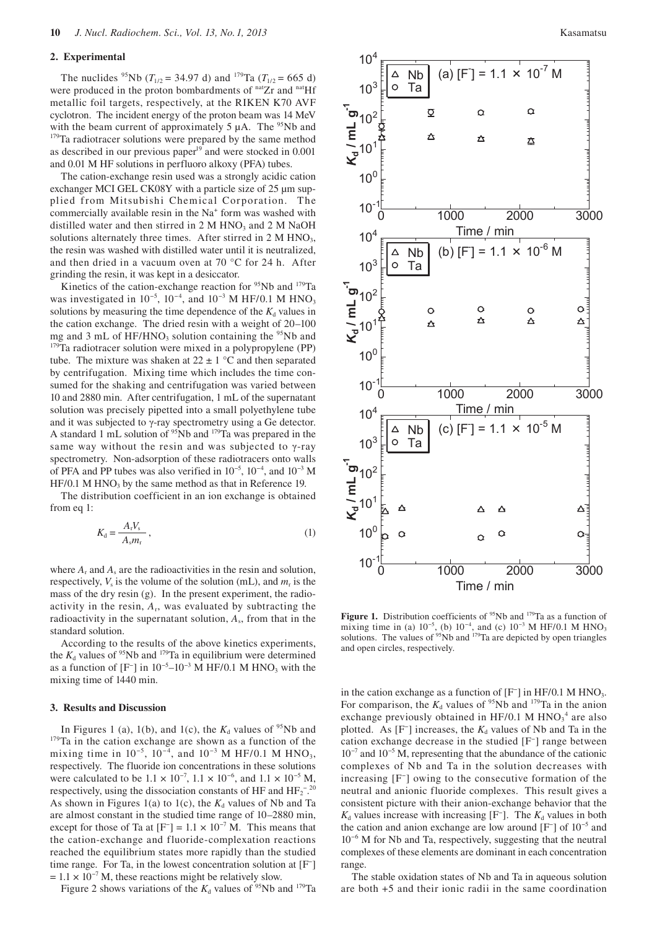#### **2. Experimental**

The nuclides <sup>95</sup>Nb ( $T_{1/2}$  = 34.97 d) and <sup>179</sup>Ta ( $T_{1/2}$  = 665 d) were produced in the proton bombardments of <sup>nat</sup>Zr and <sup>nat</sup>Hf metallic foil targets, respectively, at the RIKEN K70 AVF cyclotron. The incident energy of the proton beam was 14 MeV with the beam current of approximately 5  $\mu$ A. The <sup>95</sup>Nb and <sup>179</sup>Ta radiotracer solutions were prepared by the same method as described in our previous paper $19$  and were stocked in 0.001 and 0.01 M HF solutions in perfluoro alkoxy (PFA) tubes.

The cation-exchange resin used was a strongly acidic cation exchanger MCI GEL CK08Y with a particle size of 25  $\mu$ m supplied from Mitsubishi Chemical Corporation. The commercially available resin in the Na<sup>+</sup> form was washed with distilled water and then stirred in  $2 M HNO<sub>3</sub>$  and  $2 M NaOH$ solutions alternately three times. After stirred in  $2 M HNO<sub>3</sub>$ , the resin was washed with distilled water until it is neutralized, and then dried in a vacuum oven at 70 °C for 24 h. After grinding the resin, it was kept in a desiccator.

Kinetics of the cation-exchange reaction for <sup>95</sup>Nb and <sup>179</sup>Ta was investigated in  $10^{-5}$ ,  $10^{-4}$ , and  $10^{-3}$  M HF/0.1 M HNO<sub>3</sub> solutions by measuring the time dependence of the  $K_d$  values in the cation exchange. The dried resin with a weight of 20–100 mg and 3 mL of HF/HNO<sub>3</sub> solution containing the <sup>95</sup>Nb and <sup>179</sup>Ta radiotracer solution were mixed in a polypropylene (PP) tube. The mixture was shaken at  $22 \pm 1$  °C and then separated by centrifugation. Mixing time which includes the time consumed for the shaking and centrifugation was varied between 10 and 2880 min. After centrifugation, 1 mL of the supernatant solution was precisely pipetted into a small polyethylene tube and it was subjected to γ-ray spectrometry using a Ge detector. A standard 1 mL solution of  $95Nb$  and  $179Ta$  was prepared in the same way without the resin and was subjected to γ-ray spectrometry. Non-adsorption of these radiotracers onto walls of PFA and PP tubes was also verified in  $10^{-5}$ ,  $10^{-4}$ , and  $10^{-3}$  M  $HF/0.1$  M  $HNO<sub>3</sub>$  by the same method as that in Reference 19.

The distribution coefficient in an ion exchange is obtained from eq 1:

$$
K_{\rm d} = \frac{A_{\rm r} V_{\rm s}}{A_{\rm s} m_{\rm r}}\,,\tag{1}
$$

where  $A_r$  and  $A_s$  are the radioactivities in the resin and solution, respectively,  $V_s$  is the volume of the solution (mL), and  $m_r$  is the mass of the dry resin (g). In the present experiment, the radioactivity in the resin,  $A_r$ , was evaluated by subtracting the radioactivity in the supernatant solution,  $A_s$ , from that in the standard solution.

According to the results of the above kinetics experiments, the  $K_d$  values of <sup>95</sup>Nb and <sup>179</sup>Ta in equilibrium were determined as a function of  $[F^-]$  in 10<sup>-5</sup>-10<sup>-3</sup> M HF/0.1 M HNO<sub>3</sub> with the mixing time of 1440 min.

#### **3. Results and Discussion**

In Figures 1 (a), 1(b), and 1(c), the  $K_d$  values of <sup>95</sup>Nb and <sup>179</sup>Ta in the cation exchange are shown as a function of the mixing time in  $10^{-5}$ ,  $10^{-4}$ , and  $10^{-3}$  M HF/0.1 M HNO<sub>3</sub>, respectively. The fluoride ion concentrations in these solutions were calculated to be  $1.1 \times 10^{-7}$ ,  $1.1 \times 10^{-6}$ , and  $1.1 \times 10^{-5}$  M, respectively, using the dissociation constants of HF and  $HF_2^{-20}$ As shown in Figures 1(a) to 1(c), the  $K_d$  values of Nb and Ta are almost constant in the studied time range of 10–2880 min, except for those of Ta at  $[F^+] = 1.1 \times 10^{-7}$  M. This means that the cation-exchange and fluoride-complexation reactions reached the equilibrium states more rapidly than the studied time range. For Ta, in the lowest concentration solution at [F− ]  $= 1.1 \times 10^{-7}$  M, these reactions might be relatively slow.

Figure 2 shows variations of the  $K_d$  values of <sup>95</sup>Nb and <sup>179</sup>Ta



**Figure 1.** Distribution coefficients of <sup>95</sup>Nb and <sup>179</sup>Ta as a function of mixing time in (a)  $10^{-5}$ , (b)  $10^{-4}$ , and (c)  $10^{-3}$  M HF/0.1 M HNO<sub>3</sub> solutions. The values of  $95$ Nb and  $179$ Ta are depicted by open triangles and open circles, respectively.

in the cation exchange as a function of [F<sup>-</sup>] in HF/0.1 M HNO<sub>3</sub>. For comparison, the  $K_d$  values of <sup>95</sup>Nb and <sup>179</sup>Ta in the anion exchange previously obtained in HF/0.1 M  $HNO<sub>3</sub><sup>4</sup>$  are also plotted. As  $[F^-]$  increases, the  $K_d$  values of Nb and Ta in the cation exchange decrease in the studied [F− ] range between 10−7 and 10−5 M, representing that the abundance of the cationic complexes of Nb and Ta in the solution decreases with increasing [F− ] owing to the consecutive formation of the neutral and anionic fluoride complexes. This result gives a consistent picture with their anion-exchange behavior that the  $K_d$  values increase with increasing [F<sup>−</sup>]. The  $K_d$  values in both the cation and anion exchange are low around [F− ] of 10−5 and 10−6 M for Nb and Ta, respectively, suggesting that the neutral complexes of these elements are dominant in each concentration range.

The stable oxidation states of Nb and Ta in aqueous solution are both +5 and their ionic radii in the same coordination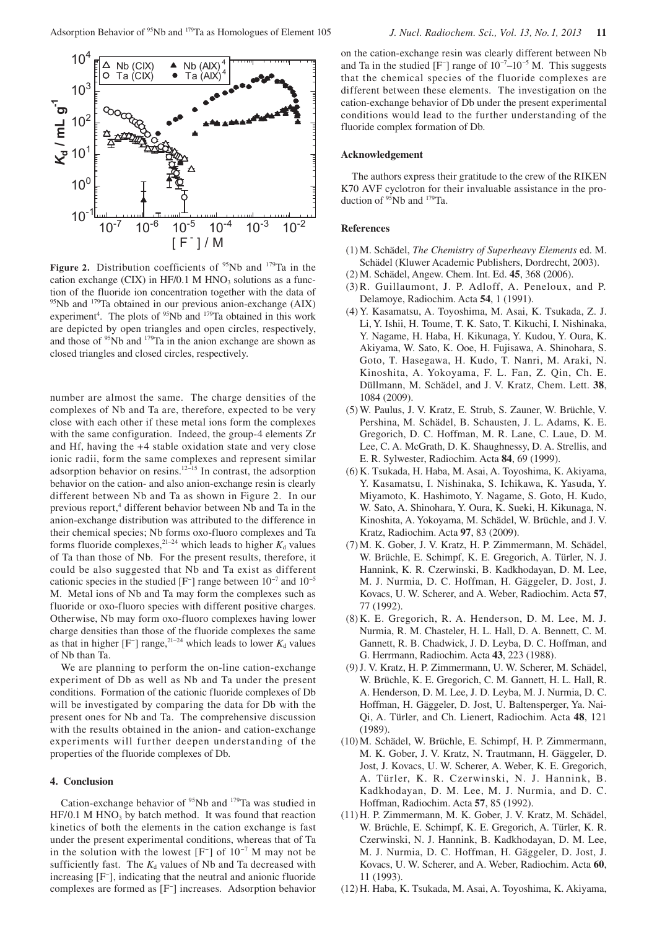

**Figure 2.** Distribution coefficients of  $95Nb$  and  $179Ta$  in the cation exchange (CIX) in HF/0.1 M  $HNO<sub>3</sub>$  solutions as a function of the fluoride ion concentration together with the data of  $95$ Nb and  $179$ Ta obtained in our previous anion-exchange (AIX) experiment<sup>4</sup>. The plots of  $95Nb$  and  $179Ta$  obtained in this work are depicted by open triangles and open circles, respectively, and those of <sup>95</sup>Nb and <sup>179</sup>Ta in the anion exchange are shown as closed triangles and closed circles, respectively.

number are almost the same. The charge densities of the complexes of Nb and Ta are, therefore, expected to be very close with each other if these metal ions form the complexes with the same configuration. Indeed, the group-4 elements Zr and Hf, having the +4 stable oxidation state and very close ionic radii, form the same complexes and represent similar adsorption behavior on resins. $12-15$  In contrast, the adsorption behavior on the cation- and also anion-exchange resin is clearly different between Nb and Ta as shown in Figure 2. In our previous report,<sup>4</sup> different behavior between Nb and Ta in the anion-exchange distribution was attributed to the difference in their chemical species; Nb forms oxo-fluoro complexes and Ta forms fluoride complexes,<sup>21–24</sup> which leads to higher  $K_d$  values of Ta than those of Nb. For the present results, therefore, it could be also suggested that Nb and Ta exist as different cationic species in the studied [F<sup>-</sup>] range between  $10^{-7}$  and  $10^{-5}$ M. Metal ions of Nb and Ta may form the complexes such as fluoride or oxo-fluoro species with different positive charges. Otherwise, Nb may form oxo-fluoro complexes having lower charge densities than those of the fluoride complexes the same as that in higher  $[F^-]$  range,<sup>21–24</sup> which leads to lower  $K_d$  values of Nb than Ta.

We are planning to perform the on-line cation-exchange experiment of Db as well as Nb and Ta under the present conditions. Formation of the cationic fluoride complexes of Db will be investigated by comparing the data for Db with the present ones for Nb and Ta. The comprehensive discussion with the results obtained in the anion- and cation-exchange experiments will further deepen understanding of the properties of the fluoride complexes of Db.

## **4. Conclusion**

Cation-exchange behavior of  $95$ Nb and  $179$ Ta was studied in  $HF/0.1$  M HNO<sub>3</sub> by batch method. It was found that reaction kinetics of both the elements in the cation exchange is fast under the present experimental conditions, whereas that of Ta in the solution with the lowest  $[F^-]$  of  $10^{-7}$  M may not be sufficiently fast. The  $K_d$  values of Nb and Ta decreased with increasing [F− ], indicating that the neutral and anionic fluoride complexes are formed as [F− ] increases. Adsorption behavior on the cation-exchange resin was clearly different between Nb and Ta in the studied  $[F^-]$  range of  $10^{-7}$ – $10^{-5}$  M. This suggests that the chemical species of the fluoride complexes are different between these elements. The investigation on the cation-exchange behavior of Db under the present experimental conditions would lead to the further understanding of the fluoride complex formation of Db.

## **Acknowledgement**

The authors express their gratitude to the crew of the RIKEN K70 AVF cyclotron for their invaluable assistance in the production of  $95$ Nb and  $179$ Ta.

## **References**

- (1) M. Schädel, *The Chemistry of Superheavy Elements* ed. M. Schädel (Kluwer Academic Publishers, Dordrecht, 2003).
- (2) M. Schädel, Angew. Chem. Int. Ed. **45**, 368 (2006).
- (3) R. Guillaumont, J. P. Adloff, A. Peneloux, and P. Delamoye, Radiochim. Acta **54**, 1 (1991).
- (4) Y. Kasamatsu, A. Toyoshima, M. Asai, K. Tsukada, Z. J. Li, Y. Ishii, H. Toume, T. K. Sato, T. Kikuchi, I. Nishinaka, Y. Nagame, H. Haba, H. Kikunaga, Y. Kudou, Y. Oura, K. Akiyama, W. Sato, K. Ooe, H. Fujisawa, A. Shinohara, S. Goto, T. Hasegawa, H. Kudo, T. Nanri, M. Araki, N. Kinoshita, A. Yokoyama, F. L. Fan, Z. Qin, Ch. E. Düllmann, M. Schädel, and J. V. Kratz, Chem. Lett. **38**, 1084 (2009).
- (5) W. Paulus, J. V. Kratz, E. Strub, S. Zauner, W. Brüchle, V. Pershina, M. Schädel, B. Schausten, J. L. Adams, K. E. Gregorich, D. C. Hoffman, M. R. Lane, C. Laue, D. M. Lee, C. A. McGrath, D. K. Shaughnessy, D. A. Strellis, and E. R. Sylwester, Radiochim. Acta **84**, 69 (1999).
- (6) K. Tsukada, H. Haba, M. Asai, A. Toyoshima, K. Akiyama, Y. Kasamatsu, I. Nishinaka, S. Ichikawa, K. Yasuda, Y. Miyamoto, K. Hashimoto, Y. Nagame, S. Goto, H. Kudo, W. Sato, A. Shinohara, Y. Oura, K. Sueki, H. Kikunaga, N. Kinoshita, A. Yokoyama, M. Schädel, W. Brüchle, and J. V. Kratz, Radiochim. Acta **97**, 83 (2009).
- (7) M. K. Gober, J. V. Kratz, H. P. Zimmermann, M. Schädel, W. Brüchle, E. Schimpf, K. E. Gregorich, A. Türler, N. J. Hannink, K. R. Czerwinski, B. Kadkhodayan, D. M. Lee, M. J. Nurmia, D. C. Hoffman, H. Gäggeler, D. Jost, J. Kovacs, U. W. Scherer, and A. Weber, Radiochim. Acta **57**, 77 (1992).
- (8) K. E. Gregorich, R. A. Henderson, D. M. Lee, M. J. Nurmia, R. M. Chasteler, H. L. Hall, D. A. Bennett, C. M. Gannett, R. B. Chadwick, J. D. Leyba, D. C. Hoffman, and G. Herrmann, Radiochim. Acta **43**, 223 (1988).
- (9) J. V. Kratz, H. P. Zimmermann, U. W. Scherer, M. Schädel, W. Brüchle, K. E. Gregorich, C. M. Gannett, H. L. Hall, R. A. Henderson, D. M. Lee, J. D. Leyba, M. J. Nurmia, D. C. Hoffman, H. Gäggeler, D. Jost, U. Baltensperger, Ya. Nai-Qi, A. Türler, and Ch. Lienert, Radiochim. Acta **48**, 121 (1989).
- (10) M. Schädel, W. Brüchle, E. Schimpf, H. P. Zimmermann, M. K. Gober, J. V. Kratz, N. Trautmann, H. Gäggeler, D. Jost, J. Kovacs, U. W. Scherer, A. Weber, K. E. Gregorich, A. Türler, K. R. Czerwinski, N. J. Hannink, B. Kadkhodayan, D. M. Lee, M. J. Nurmia, and D. C. Hoffman, Radiochim. Acta **57**, 85 (1992).
- (11) H. P. Zimmermann, M. K. Gober, J. V. Kratz, M. Schädel, W. Brüchle, E. Schimpf, K. E. Gregorich, A. Türler, K. R. Czerwinski, N. J. Hannink, B. Kadkhodayan, D. M. Lee, M. J. Nurmia, D. C. Hoffman, H. Gäggeler, D. Jost, J. Kovacs, U. W. Scherer, and A. Weber, Radiochim. Acta **60**, 11 (1993).
- (12) H. Haba, K. Tsukada, M. Asai, A. Toyoshima, K. Akiyama,